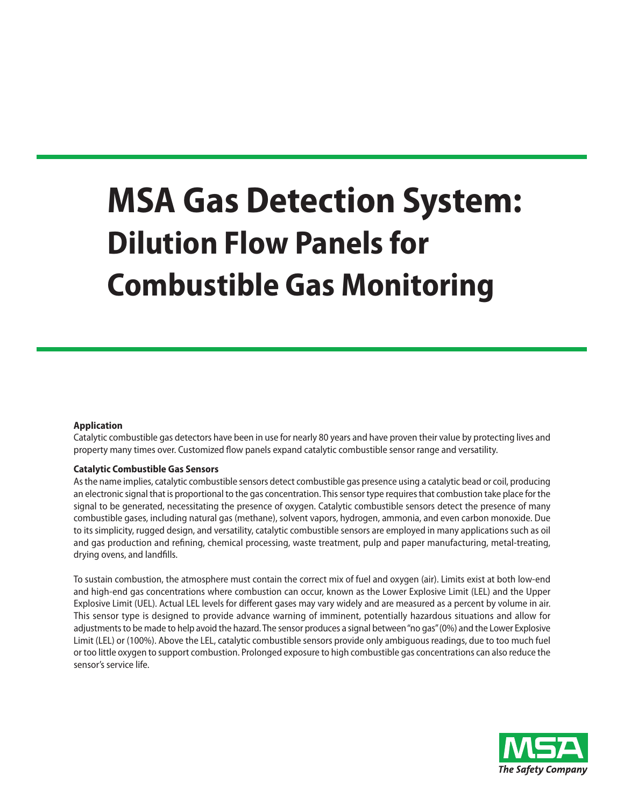# **MSA Gas Detection System: Dilution Flow Panels for Combustible Gas Monitoring**

## **Application**

Catalytic combustible gas detectors have been in use for nearly 80 years and have proven their value by protecting lives and property many times over. Customized flow panels expand catalytic combustible sensor range and versatility.

## **Catalytic Combustible Gas Sensors**

Asthe name implies, catalytic combustible sensors detect combustible gas presence using a catalytic bead or coil, producing an electronic signal that is proportional to the gas concentration. Thissensor type requiresthat combustion take place for the signal to be generated, necessitating the presence of oxygen. Catalytic combustible sensors detect the presence of many combustible gases, including natural gas (methane), solvent vapors, hydrogen, ammonia, and even carbon monoxide. Due to its simplicity, rugged design, and versatility, catalytic combustible sensors are employed in many applications such as oil and gas production and refining, chemical processing, waste treatment, pulp and paper manufacturing, metal-treating, drying ovens, and landfills.

To sustain combustion, the atmosphere must contain the correct mix of fuel and oxygen (air). Limits exist at both low-end and high-end gas concentrations where combustion can occur, known as the Lower Explosive Limit (LEL) and the Upper Explosive Limit (UEL). Actual LEL levels for different gases may vary widely and are measured as a percent by volume in air. This sensor type is designed to provide advance warning of imminent, potentially hazardous situations and allow for adjustments to be made to help avoid the hazard. The sensor produces a signal between "no gas" (0%) and the Lower Explosive Limit (LEL) or (100%). Above the LEL, catalytic combustible sensors provide only ambiguous readings, due to too much fuel or too little oxygen to support combustion. Prolonged exposure to high combustible gas concentrations can also reduce the sensor's service life.